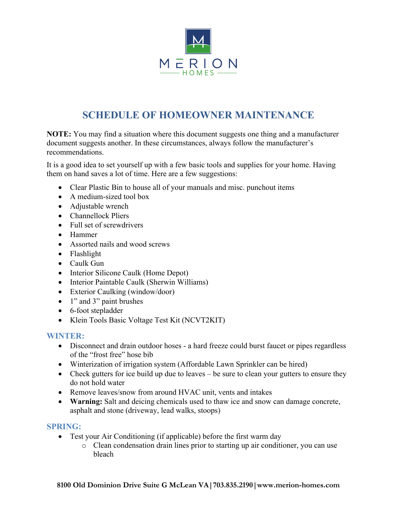

# **SCHEDULE OF HOMEOWNER MAINTENANCE**

**NOTE:** You may find a situation where this document suggests one thing and a manufacturer document suggests another. In these circumstances, always follow the manufacturer's recommendations.

It is a good idea to set yourself up with a few basic tools and supplies for your home. Having them on hand saves a lot of time. Here are a few suggestions:

- Clear Plastic Bin to house all of your manuals and misc. punchout items
- A medium-sized tool box
- Adjustable wrench
- Channellock Pliers
- Full set of screwdrivers
- Hammer
- Assorted nails and wood screws
- Flashlight
- Caulk Gun
- Interior Silicone Caulk (Home Depot)
- Interior Paintable Caulk (Sherwin Williams)
- Exterior Caulking (window/door)
- 1" and 3" paint brushes
- 6-foot stepladder
- Klein Tools Basic Voltage Test Kit (NCVT2KIT)

# **WINTER:**

- Disconnect and drain outdoor hoses a hard freeze could burst faucet or pipes regardless of the "frost free" hose bib
- Winterization of irrigation system (Affordable Lawn Sprinkler can be hired)
- Check gutters for ice build up due to leaves be sure to clean your gutters to ensure they do not hold water
- Remove leaves/snow from around HVAC unit, vents and intakes
- **Warning:** Salt and deicing chemicals used to thaw ice and snow can damage concrete, asphalt and stone (driveway, lead walks, stoops)

## **SPRING:**

- Test your Air Conditioning (if applicable) before the first warm day
	- o Clean condensation drain lines prior to starting up air conditioner, you can use bleach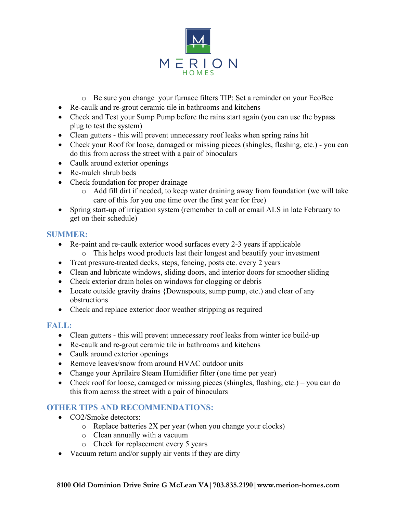

- o Be sure you change your furnace filters TIP: Set a reminder on your EcoBee
- Re-caulk and re-grout ceramic tile in bathrooms and kitchens
- Check and Test your Sump Pump before the rains start again (you can use the bypass plug to test the system)
- Clean gutters this will prevent unnecessary roof leaks when spring rains hit
- Check your Roof for loose, damaged or missing pieces (shingles, flashing, etc.) you can do this from across the street with a pair of binoculars
- Caulk around exterior openings
- Re-mulch shrub beds
- Check foundation for proper drainage
	- o Add fill dirt if needed, to keep water draining away from foundation (we will take care of this for you one time over the first year for free)
- Spring start-up of irrigation system (remember to call or email ALS in late February to get on their schedule)

# **SUMMER:**

- Re-paint and re-caulk exterior wood surfaces every 2-3 years if applicable
	- o This helps wood products last their longest and beautify your investment
- Treat pressure-treated decks, steps, fencing, posts etc. every 2 years
- Clean and lubricate windows, sliding doors, and interior doors for smoother sliding
- Check exterior drain holes on windows for clogging or debris
- Locate outside gravity drains {Downspouts, sump pump, etc.) and clear of any obstructions
- Check and replace exterior door weather stripping as required

# **FALL:**

- Clean gutters this will prevent unnecessary roof leaks from winter ice build-up
- Re-caulk and re-grout ceramic tile in bathrooms and kitchens
- Caulk around exterior openings
- Remove leaves/snow from around HVAC outdoor units
- Change your Aprilaire Steam Humidifier filter (one time per year)
- Check roof for loose, damaged or missing pieces (shingles, flashing, etc.) you can do this from across the street with a pair of binoculars

# **OTHER TIPS AND RECOMMENDATIONS:**

- CO2/Smoke detectors:
	- $\circ$  Replace batteries 2X per year (when you change your clocks)
	- o Clean annually with a vacuum
	- o Check for replacement every 5 years
- Vacuum return and/or supply air vents if they are dirty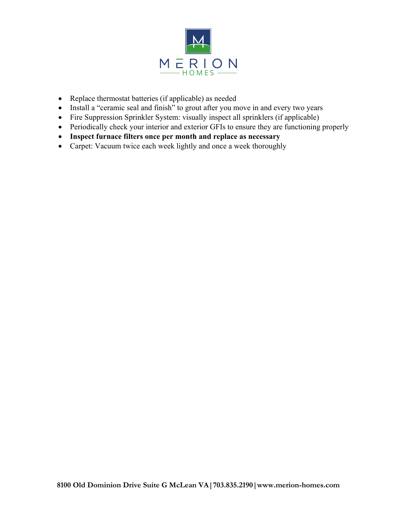

- Replace thermostat batteries (if applicable) as needed
- Install a "ceramic seal and finish" to grout after you move in and every two years
- Fire Suppression Sprinkler System: visually inspect all sprinklers (if applicable)
- Periodically check your interior and exterior GFIs to ensure they are functioning properly
- **Inspect furnace filters once per month and replace as necessary**
- Carpet: Vacuum twice each week lightly and once a week thoroughly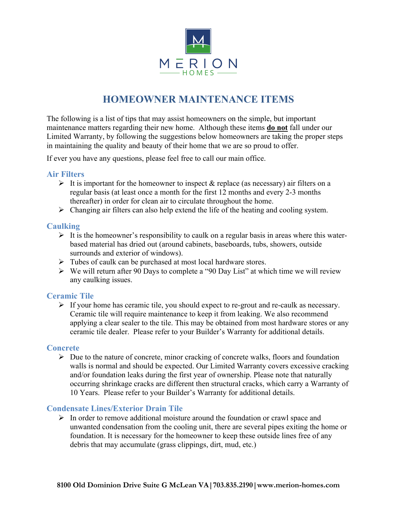

# **HOMEOWNER MAINTENANCE ITEMS**

The following is a list of tips that may assist homeowners on the simple, but important maintenance matters regarding their new home. Although these items **do not** fall under our Limited Warranty, by following the suggestions below homeowners are taking the proper steps in maintaining the quality and beauty of their home that we are so proud to offer.

If ever you have any questions, please feel free to call our main office.

# **Air Filters**

- $\triangleright$  It is important for the homeowner to inspect & replace (as necessary) air filters on a regular basis (at least once a month for the first 12 months and every 2-3 months thereafter) in order for clean air to circulate throughout the home.
- $\triangleright$  Changing air filters can also help extend the life of the heating and cooling system.

# **Caulking**

- $\triangleright$  It is the homeowner's responsibility to caulk on a regular basis in areas where this waterbased material has dried out (around cabinets, baseboards, tubs, showers, outside surrounds and exterior of windows).
- $\triangleright$  Tubes of caulk can be purchased at most local hardware stores.
- $\triangleright$  We will return after 90 Days to complete a "90 Day List" at which time we will review any caulking issues.

# **Ceramic Tile**

 $\triangleright$  If your home has ceramic tile, you should expect to re-grout and re-caulk as necessary. Ceramic tile will require maintenance to keep it from leaking. We also recommend applying a clear sealer to the tile. This may be obtained from most hardware stores or any ceramic tile dealer. Please refer to your Builder's Warranty for additional details.

## **Concrete**

 $\triangleright$  Due to the nature of concrete, minor cracking of concrete walks, floors and foundation walls is normal and should be expected. Our Limited Warranty covers excessive cracking and/or foundation leaks during the first year of ownership. Please note that naturally occurring shrinkage cracks are different then structural cracks, which carry a Warranty of 10 Years. Please refer to your Builder's Warranty for additional details.

## **Condensate Lines/Exterior Drain Tile**

 $\triangleright$  In order to remove additional moisture around the foundation or crawl space and unwanted condensation from the cooling unit, there are several pipes exiting the home or foundation. It is necessary for the homeowner to keep these outside lines free of any debris that may accumulate (grass clippings, dirt, mud, etc.)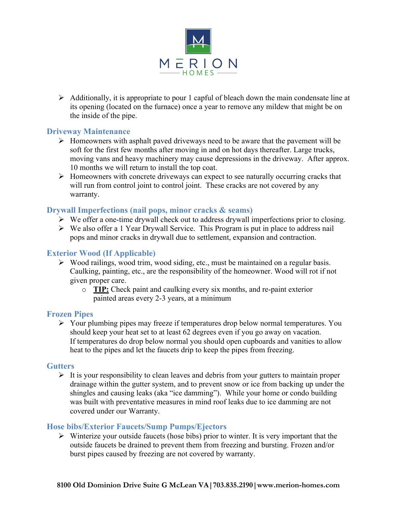

 $\triangleright$  Additionally, it is appropriate to pour 1 capful of bleach down the main condensate line at its opening (located on the furnace) once a year to remove any mildew that might be on the inside of the pipe.

# **Driveway Maintenance**

- $\triangleright$  Homeowners with asphalt paved driveways need to be aware that the pavement will be soft for the first few months after moving in and on hot days thereafter. Large trucks, moving vans and heavy machinery may cause depressions in the driveway. After approx. 10 months we will return to install the top coat.
- $\triangleright$  Homeowners with concrete driveways can expect to see naturally occurring cracks that will run from control joint to control joint. These cracks are not covered by any warranty.

# **Drywall Imperfections (nail pops, minor cracks & seams)**

- $\triangleright$  We offer a one-time drywall check out to address drywall imperfections prior to closing.
- $\triangleright$  We also offer a 1 Year Drywall Service. This Program is put in place to address nail pops and minor cracks in drywall due to settlement, expansion and contraction.

## **Exterior Wood (If Applicable)**

- $\triangleright$  Wood railings, wood trim, wood siding, etc., must be maintained on a regular basis. Caulking, painting, etc., are the responsibility of the homeowner. Wood will rot if not given proper care.
	- o **TIP:** Check paint and caulking every six months, and re-paint exterior painted areas every 2-3 years, at a minimum

## **Frozen Pipes**

 $\triangleright$  Your plumbing pipes may freeze if temperatures drop below normal temperatures. You should keep your heat set to at least 62 degrees even if you go away on vacation. If temperatures do drop below normal you should open cupboards and vanities to allow heat to the pipes and let the faucets drip to keep the pipes from freezing.

## **Gutters**

 $\triangleright$  It is your responsibility to clean leaves and debris from your gutters to maintain proper drainage within the gutter system, and to prevent snow or ice from backing up under the shingles and causing leaks (aka "ice damming"). While your home or condo building was built with preventative measures in mind roof leaks due to ice damming are not covered under our Warranty.

## **Hose bibs/Exterior Faucets/Sump Pumps/Ejectors**

 $\triangleright$  Winterize your outside faucets (hose bibs) prior to winter. It is very important that the outside faucets be drained to prevent them from freezing and bursting. Frozen and/or burst pipes caused by freezing are not covered by warranty.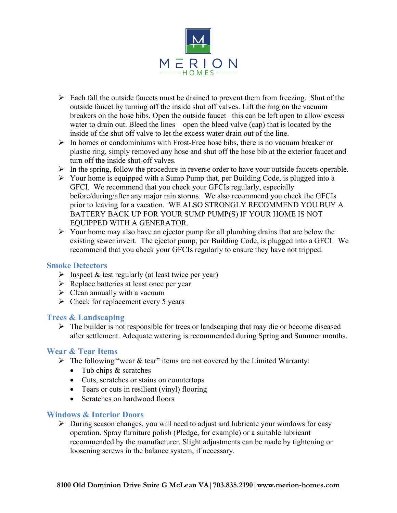

- $\triangleright$  Each fall the outside faucets must be drained to prevent them from freezing. Shut of the outside faucet by turning off the inside shut off valves. Lift the ring on the vacuum breakers on the hose bibs. Open the outside faucet –this can be left open to allow excess water to drain out. Bleed the lines – open the bleed valve (cap) that is located by the inside of the shut off valve to let the excess water drain out of the line.
- $\triangleright$  In homes or condominiums with Frost-Free hose bibs, there is no vacuum breaker or plastic ring, simply removed any hose and shut off the hose bib at the exterior faucet and turn off the inside shut-off valves.
- $\triangleright$  In the spring, follow the procedure in reverse order to have your outside faucets operable.
- $\triangleright$  Your home is equipped with a Sump Pump that, per Building Code, is plugged into a GFCI. We recommend that you check your GFCIs regularly, especially before/during/after any major rain storms. We also recommend you check the GFCIs prior to leaving for a vacation. WE ALSO STRONGLY RECOMMEND YOU BUY A BATTERY BACK UP FOR YOUR SUMP PUMP(S) IF YOUR HOME IS NOT EQUIPPED WITH A GENERATOR.
- $\triangleright$  Your home may also have an ejector pump for all plumbing drains that are below the existing sewer invert. The ejector pump, per Building Code, is plugged into a GFCI. We recommend that you check your GFCIs regularly to ensure they have not tripped.

## **Smoke Detectors**

- $\triangleright$  Inspect & test regularly (at least twice per year)
- $\triangleright$  Replace batteries at least once per year
- $\triangleright$  Clean annually with a vacuum
- $\triangleright$  Check for replacement every 5 years

## **Trees & Landscaping**

 $\triangleright$  The builder is not responsible for trees or landscaping that may die or become diseased after settlement. Adequate watering is recommended during Spring and Summer months.

## **Wear & Tear Items**

- $\triangleright$  The following "wear & tear" items are not covered by the Limited Warranty:
	- Tub chips & scratches
	- Cuts, scratches or stains on countertops
	- Tears or cuts in resilient (vinyl) flooring
	- Scratches on hardwood floors

## **Windows & Interior Doors**

 $\triangleright$  During season changes, you will need to adjust and lubricate your windows for easy operation. Spray furniture polish (Pledge, for example) or a suitable lubricant recommended by the manufacturer. Slight adjustments can be made by tightening or loosening screws in the balance system, if necessary.